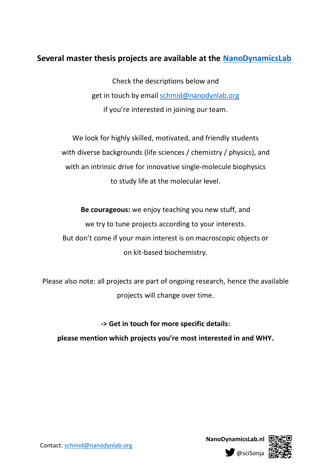## **Several master thesis projects are available at the [NanoDynamicsLab](http://www.nanodynamicslab.nl/)**

Check the descriptions below and get in touch by email [schmid@nanodynlab.org](mailto:schmid@nanodynlab.org) if you're interested in joining our team.

We look for highly skilled, motivated, and friendly students with diverse backgrounds (life sciences / chemistry / physics), and with an intrinsic drive for innovative single-molecule biophysics to study life at the molecular level.

**Be courageous:** we enjoy teaching you new stuff, and we try to tune projects according to your interests. But don't come if your main interest is on macroscopic objects or on kit-based biochemistry.

Please also note: all projects are part of ongoing research, hence the available projects will change over time.

**-> Get in touch for more specific details: please mention which projects you're most interested in and WHY.**



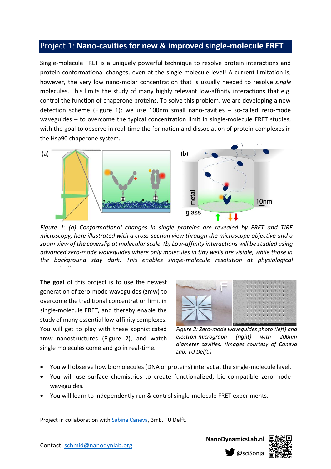### Project 1: **Nano-cavities for new & improved single-molecule FRET**

Single-molecule FRET is a uniquely powerful technique to resolve protein interactions and protein conformational changes, even at the single-molecule level! A current limitation is, however, the very low nano-molar concentration that is usually needed to resolve *single* molecules. This limits the study of many highly relevant low-affinity interactions that e.g. control the function of chaperone proteins. To solve this problem, we are developing a new detection scheme (Figure 1): we use 100nm small nano-cavities – so-called zero-mode waveguides – to overcome the typical concentration limit in single-molecule FRET studies, with the goal to observe in real-time the formation and dissociation of protein complexes in the Hsp90 chaperone system.



*Figure 1: (a) Conformational changes in single proteins are revealed by FRET and TIRF microscopy, here illustrated with a cross-section view through the microscope objective and a zoom view of the coverslip at molecular scale. (b) Low-affinity interactions will be studied using advanced zero-mode waveguides where only molecules in tiny wells are visible, while those in the background stay dark. This enables single-molecule resolution at physiological concentrations.*

**The goal** of this project is to use the newest generation of zero-mode waveguides (zmw) to overcome the traditional concentration limit in single-molecule FRET, and thereby enable the study of many essential low-affinity complexes. You will get to play with these sophisticated zmw nanostructures (Figure 2), and watch single molecules come and go in real-time.



*Figure 2: Zero-mode waveguides photo (left) and electron-micrograph (right) with 200nm diameter cavities. (Images courtesy of Caneva Lab, TU Delft.)*

- You will observe how biomolecules (DNA or proteins) interact at the single-molecule level.
- You will use surface chemistries to create functionalized, bio-compatible zero-mode waveguides.
- You will learn to independently run & control single-molecule FRET experiments.

Project in collaboration with [Sabina Caneva,](http://canevalab.com/) 3mE, TU Delft.



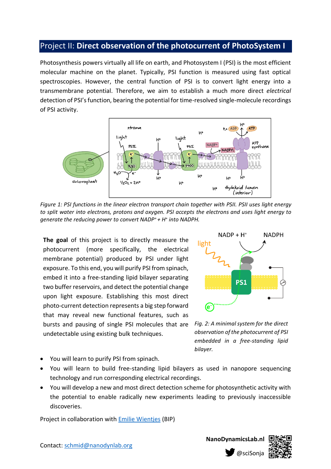## Project II: **Direct observation of the photocurrent of PhotoSystem I**

Photosynthesis powers virtually all life on earth, and Photosystem I (PSI) is the most efficient molecular machine on the planet. Typically, PSI function is measured using fast optical spectroscopies. However, the central function of PSI is to convert light energy into a transmembrane potential. Therefore, we aim to establish a much more direct *electrical* detection of PSI's function, bearing the potential for time-resolved single-molecule recordings of PSI activity.



*Figure 1: PSI functions in the linear electron transport chain together with PSII. PSII uses light energy to split water into electrons, protons and oxygen. PSI accepts the electrons and uses light energy to generate the reducing power to convert NADP<sup>+</sup>+ H<sup>+</sup> into NADPH.* 

**The goal** of this project is to directly measure the photocurrent (more specifically, the electrical membrane potential) produced by PSI under light exposure. To this end, you will purify PSI from spinach, embed it into a free-standing lipid bilayer separating *FIGURE CAIN, PSI CONVERTS LIGHT CONVERTS* two buffer reservoirs, and detect the potential change upon light exposure. Establishing this most direct photo-current detection represents a big step forward that may reveal new functional features, such as bursts and pausing of single PSI molecules that are undetectable using existing bulk techniques.



*Fig. 2: A minimal system for the direct observation of the photocurrent of PSI embedded in a free-standing lipid bilayer.*

- You will learn to purify PSI from spinach.
- You will learn to build free-standing lipid bilayers as used in nanopore sequencing technology and run corresponding electrical recordings.
- You will develop a new and most direct detection scheme for photosynthetic activity with the potential to enable radically new experiments leading to previously inaccessible discoveries.

Project in collaboration with [Emilie Wientjes](https://www.wur.nl/en/Persons/Emilie-dr.-IE-Emilie-Wientjes.htm) (BIP)

Contact: [schmid@nanodynlab.org](mailto:schmid@nanodynlab.org)

**NanoDynamicsLab.nl**

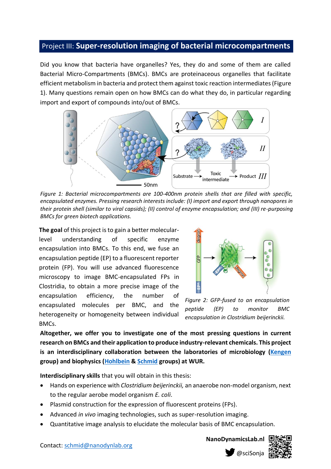#### Project III: **Super-resolution imaging of bacterial microcompartments**

Did you know that bacteria have organelles? Yes, they do and some of them are called Bacterial Micro-Compartments (BMCs). BMCs are proteinaceous organelles that facilitate efficient metabolism in bacteria and protect them against toxic reaction intermediates (Figure 1). Many questions remain open on how BMCs can do what they do, in particular regarding import and export of compounds into/out of BMCs.



*Figure 1: Bacterial microcompartments are 100-400nm protein shells that are filled with specific, encapsulated enzymes. Pressing research interests include: (I) import and export through nanopores in their protein shell (similar to viral capsids); (II) control of enzyme encapsulation; and (III) re-purposing BMCs for green biotech applications.*

**The goal** of this project is to gain a better molecularlevel understanding of specific enzyme encapsulation into BMCs. To this end, we fuse an encapsulation peptide (EP) to a fluorescent reporter protein (FP). You will use advanced fluorescence microscopy to image BMC-encapsulated FPs in Clostridia, to obtain a more precise image of the encapsulation efficiency, the number of encapsulated molecules per BMC, and the heterogeneity or homogeneity between individual BMCs.



*Figure 2: GFP-fused to an encapsulation peptide (EP) to monitor BMC encapsulation in Clostridium beijerinckii.*

**Altogether, we offer you to investigate one of the most pressing questions in current research on BMCs and their application to produce industry-relevant chemicals. This project is an interdisciplinary collaboration between the laboratories of microbiology [\(Kengen](https://www.wur.nl/en/Persons/Serve-dr.-SWM-Serve-Kengen.htm) group) and biophysics [\(Hohlbein](https://jhohlbein.com/) & [Schmid](https://www.nanodynamicslab.nl/) groups) at WUR.**

**Interdisciplinary skills** that you will obtain in this thesis:

- Hands on experience with *Clostridium beijerinckii,* an anaerobe non-model organism, next to the regular aerobe model organism *E. coli*.
- Plasmid construction for the expression of fluorescent proteins (FPs).
- Advanced *in vivo* imaging technologies, such as super-resolution imaging.
- Quantitative image analysis to elucidate the molecular basis of BMC encapsulation.

**NanoDynamicsLab.nl**

@sciSonja



Contact: [schmid@nanodynlab.org](mailto:schmid@nanodynlab.org)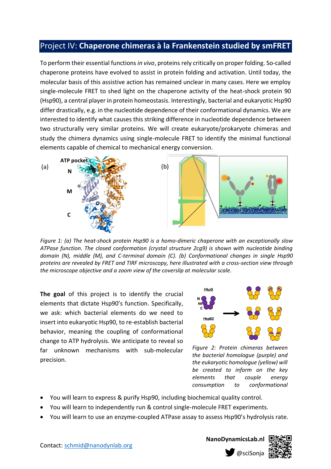## Project IV: **Chaperone chimeras à la Frankenstein studied by smFRET**

To perform their essential functions *in vivo*, proteins rely critically on proper folding. So-called chaperone proteins have evolved to assist in protein folding and activation. Until today, the molecular basis of this assistive action has remained unclear in many cases. Here we employ single-molecule FRET to shed light on the chaperone activity of the heat-shock protein 90 (Hsp90), a central player in protein homeostasis. Interestingly, bacterial and eukaryotic Hsp90 differ drastically, e.g. in the nucleotide dependence of their conformational dynamics. We are interested to identify what causes this striking difference in nucleotide dependence between two structurally very similar proteins. We will create eukaryote/prokaryote chimeras and study the chimera dynamics using single-molecule FRET to identify the minimal functional elements capable of chemical to mechanical energy conversion.



*Figure 1: (a) The heat-shock protein Hsp90 is a homo-dimeric chaperone with an exceptionally slow ATPase function. The closed conformation (crystal structure 2cg9) is shown with nucleotide binding domain (N), middle (M), and C-terminal domain (C). (b) Conformational changes in single Hsp90 proteins are revealed by FRET and TIRF microscopy, here illustrated with a cross-section view through the microscope objective and a zoom view of the coverslip at molecular scale.* 

**The goal** of this project is to identify the crucial elements that dictate Hsp90's function. Specifically, we ask: which bacterial elements do we need to insert into eukaryotic Hsp90, to re-establish bacterial behavior, meaning the coupling of conformational change to ATP hydrolysis. We anticipate to reveal so far unknown mechanisms with sub-molecular precision.



*Figure 2: Protein chimeras between the bacterial homologue (purple) and the eukaryotic homologue (yellow) will be created to inform on the key elements that couple energy consumption to conformational* 

- You will learn to express & purify Hsp90, including biochemical quality control. *change.*
- You will learn to independently run & control single-molecule FRET experiments.
- You will learn to use an enzyme-coupled ATPase assay to assess Hsp90's hydrolysis rate.

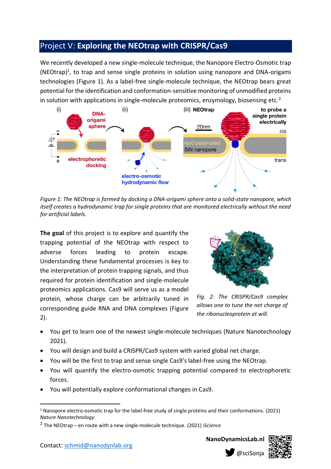# Project V: **Exploring the NEOtrap with CRISPR/Cas9**

We recently developed a new single-molecule technique, the Nanopore Electro-Osmotic trap  $(NEOtrap)^1$ , to trap and sense single proteins in solution using nanopore and DNA-origami technologies (Figure 1). As a label-free single-molecule technique, the NEOtrap bears great potential for the identification and conformation-sensitive monitoring of unmodified proteins in solution with applications in single-molecule proteomics, enzymology, biosensing etc.<sup>2</sup>



*Figure 1: The NEOtrap is formed by docking a DNA-origami sphere onto a solid-state nanopore, which itself creates a hydrodynamic trap for single proteins that are monitored electrically without the need for artificial labels.*

**The goal** of this project is to explore and quantify the trapping potential of the NEOtrap with respect to adverse forces leading to protein escape. Understanding these fundamental processes is key to the interpretation of protein trapping signals, and thus required for protein identification and single-molecule proteomics applications. Cas9 will serve us as a model protein, whose charge can be arbitrarily tuned in corresponding guide RNA and DNA complexes (Figure 2).



*Fig. 2: The CRISPR/Cas9 complex allows one to tune the net charge of the ribonucleoprotein at will.*

- You get to learn one of the newest single-molecule techniques (Nature Nanotechnology 2021).
- You will design and build a CRISPR/Cas9 system with varied global net charge.
- You will be the first to trap and sense single Cas9's label-free using the NEOtrap.
- You will quantify the electro-osmotic trapping potential compared to electrophoretic forces.
- You will potentially explore conformational changes in Cas9.

Contact: [schmid@nanodynlab.org](mailto:schmid@nanodynlab.org)

**NanoDynamicsLab.nl**



<sup>1</sup> Nanopore electro-osmotic trap for the label-free study of single proteins and their conformations. (2021) *Nature Nanotechnology*

<sup>2</sup> The NEOtrap – en route with a new single-molecule technique. (2021) *iScience*